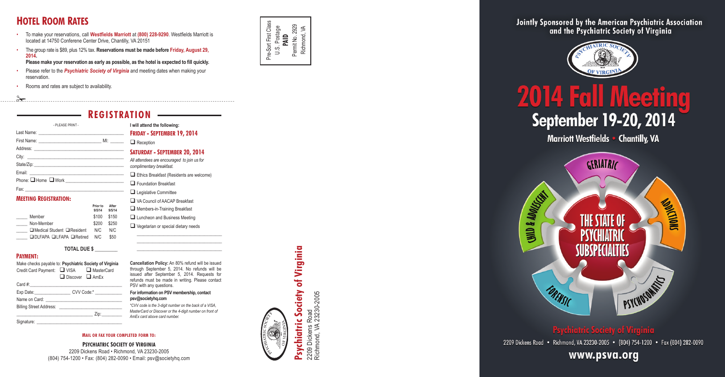### **Registration**

**Friday - September 19, 2014**

Reception

#### **Saturday - September 20, 2014**

*All attendees are encouraged to join us for complimentary breakfast.*

Ethics Breakfast (Residents are welcome) **Foundation Breakfast** 

- $\Box$  Legislative Committee
- Q VA Council of AACAP Breakfast
- $\Box$  Members-in-Training Breakfast
- $\Box$  Luncheon and Business Meeting
	- $\Box$  Vegetarian or special dietary needs

\_\_\_\_\_\_\_\_\_\_\_\_\_\_\_\_\_\_\_\_\_\_\_\_\_\_\_\_\_\_\_\_\_\_\_\_\_\_ \_\_\_\_\_\_\_\_\_\_\_\_\_\_\_\_\_\_\_\_\_\_\_\_\_\_\_\_\_\_\_\_\_\_\_\_\_\_ \_\_\_\_\_\_\_\_\_\_\_\_\_\_\_\_\_\_\_\_\_\_\_\_\_\_\_\_\_\_\_\_\_\_\_\_\_\_

Make checks payable to: **Psychiatric Society of Virginia**  Credit Card Payment: VISA A MasterCard  $\Box$  Discover  $\Box$  AmEx Card  $#$ : Exp Date: CVV Code:\* Name on Card: Billing Street Address: \_\_\_\_\_\_\_\_\_\_\_\_\_\_\_\_\_\_\_\_\_\_\_\_\_\_\_\_\_\_\_\_\_\_ Zip:\_\_\_\_\_\_\_\_\_ Signature:

| - PLEASE PRINT -                               |  |
|------------------------------------------------|--|
|                                                |  |
|                                                |  |
|                                                |  |
|                                                |  |
|                                                |  |
|                                                |  |
| Phone: I Home I Work _________________________ |  |
|                                                |  |

#### **Meeting Registration:**

|                                        | After<br>Prior to<br>9/5/14<br>9/5/14 |  |
|----------------------------------------|---------------------------------------|--|
| Member                                 | \$150<br>\$100                        |  |
| Non-Member                             | \$250<br>\$200                        |  |
| $\Box$ Medical Student $\Box$ Resident | N/C<br>N/C                            |  |
| □DLFAPA □LFAPA □Retired                | \$50<br>N/C                           |  |

#### **TOTAL DUE \$ \_\_\_\_\_\_\_\_\_**

#### **Payment:**



**Mail or fax your completed form to:**

#### **Psychiatric Society of Virginia** 2209 Dickens Road • Richmond, VA 23230-2005 (804) 754-1200 • Fax: (804) 282-0090 • Email: psv@societyhq.com

**ill attend the following:** 

### **Hotel Room Rates**

- To make your reservations, call **Westfields Marriott** at **(800) 228-9290**. Westfields Marriott is located at 14750 Conferene Center Drive, Chantilly, VA 20151
- The group rate is \$89, plus 12% tax. **Reservations must be made before Friday, August 29, 2014.**

**Please make your reservation as early as possible, as the hotel is expected to fill quickly.**

- Please refer to the *Psychiatric Society of Virginia* and meeting dates when making your reservation
- Rooms and rates are subject to availability.

 $\approx$ 

**psv@societyhq.com**

#### **For information on PSV membership, contact Cancellation Policy:** An 80% refund will be issued through September 5, 2014. No refunds will be issued after September 5, 2014. Requests for refunds must be made in writing. Please contact PSV with any questions.

*\*CVV code is the 3-digit number on the back of a VISA, MasterCard or Discover or the 4-digit number on front of AmEx card above card number.*

Pre-Sort First Class U.S. Postage **PAID** Permit No. 2929 Richmond, VA

Pre-Sort First Class

Society of Virginia **Psychiatric Society of Virginia** 2209 Dickens Road<br>Richmond, VA 23230-2005 Richmond, VA 23230-2005 2209 Dickens Road **Psychiatric** 



**UNID & ADOLEGE** 

Jointly Sponsored by the American Psychiatric Association and the Psychiatric Society of Virginia



# **2014 Fall Meeting September 19-20, 2014**

Marriott Westfields . Chantilly, VA



### اللم يتعملهم المقتبلة

2209 Dickens Road · Richmond, VA 23230-2005 · (804) 754-1200 · Fax (804) 282-0090

### www.psva.org